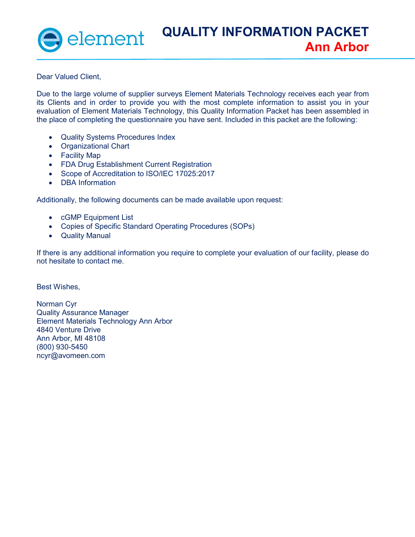Dear Valued Client,

Due to the large volume of supplier surveys Element Materials Technology receives each year from its Clients and in order to provide you with the most complete information to assist you in your evaluation of Element Materials Technology, this Quality Information Packet has been assembled in the place of completing the questionnaire you have sent. Included in this packet are the following:

- Quality Systems Procedures Index
- Organizational Chart
- Facility Map
- FDA Drug Establishment Current Registration
- Scope of Accreditation to ISO/IEC 17025:2017
- DBA Information

Additionally, the following documents can be made available upon request:

- cGMP Equipment List
- Copies of Specific Standard Operating Procedures (SOPs)
- Quality Manual

If there is any additional information you require to complete your evaluation of our facility, please do not hesitate to contact me.

Best Wishes,

Norman Cyr Quality Assurance Manager Element Materials Technology Ann Arbor 4840 Venture Drive Ann Arbor, MI 48108 (800) 930-5450 ncyr@avomeen.com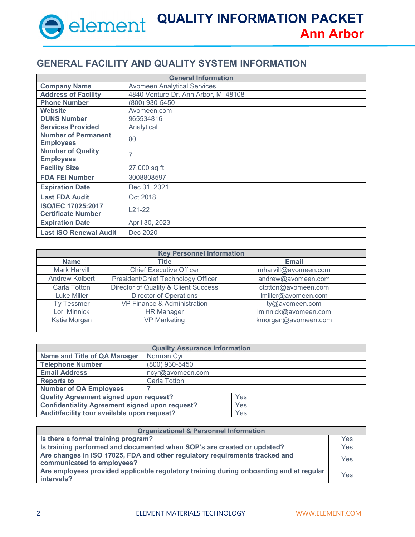#### **GENERAL FACILITY AND QUALITY SYSTEM INFORMATION**

| <b>General Information</b>    |                                      |  |
|-------------------------------|--------------------------------------|--|
| <b>Company Name</b>           | <b>Avomeen Analytical Services</b>   |  |
| <b>Address of Facility</b>    | 4840 Venture Dr, Ann Arbor, MI 48108 |  |
| <b>Phone Number</b>           | (800) 930-5450                       |  |
| Website                       | Avomeen.com                          |  |
| <b>DUNS Number</b>            | 965534816                            |  |
| <b>Services Provided</b>      | Analytical                           |  |
| <b>Number of Permanent</b>    | 80                                   |  |
| <b>Employees</b>              |                                      |  |
| <b>Number of Quality</b>      | 7                                    |  |
| <b>Employees</b>              |                                      |  |
| <b>Facility Size</b>          | 27,000 sq ft                         |  |
| <b>FDA FEI Number</b>         | 3008808597                           |  |
| <b>Expiration Date</b>        | Dec 31, 2021                         |  |
| <b>Last FDA Audit</b>         | Oct 2018                             |  |
| <b>ISO/IEC 17025:2017</b>     | $L21-22$                             |  |
| <b>Certificate Number</b>     |                                      |  |
| <b>Expiration Date</b>        | April 30, 2023                       |  |
| <b>Last ISO Renewal Audit</b> | Dec 2020                             |  |

| <b>Key Personnel Information</b> |                                      |                      |
|----------------------------------|--------------------------------------|----------------------|
| <b>Name</b>                      | Title                                | <b>Email</b>         |
| <b>Mark Harvill</b>              | <b>Chief Executive Officer</b>       | mharvill@avomeen.com |
| <b>Andrew Kolbert</b>            | President/Chief Technology Officer   | andrew@avomeen.com   |
| Carla Totton                     | Director of Quality & Client Success | ctotton@avomeen.com  |
| Luke Miller                      | <b>Director of Operations</b>        | Imiller@avomeen.com  |
| <b>Tv Tessmer</b>                | VP Finance & Administration          | ty@avomeen.com       |
| Lori Minnick                     | <b>HR Manager</b>                    | Iminnick@avomeen.com |
| Katie Morgan                     | <b>VP Marketing</b>                  | kmorgan@avomeen.com  |
|                                  |                                      |                      |

| <b>Quality Assurance Information</b>                  |                  |     |
|-------------------------------------------------------|------------------|-----|
| <b>Name and Title of QA Manager</b>                   | Norman Cyr       |     |
| <b>Telephone Number</b>                               | (800) 930-5450   |     |
| <b>Email Address</b>                                  | ncyr@avomeen.com |     |
| <b>Reports to</b>                                     | Carla Totton     |     |
| <b>Number of QA Employees</b>                         |                  |     |
| Quality Agreement signed upon request?                |                  | Yes |
| <b>Confidentiality Agreement signed upon request?</b> |                  | Yes |
| Audit/facility tour available upon request?           |                  | Yes |

| <b>Organizational &amp; Personnel Information</b>                                      |     |
|----------------------------------------------------------------------------------------|-----|
| Is there a formal training program?                                                    | Yes |
| Is training performed and documented when SOP's are created or updated?                | Yes |
| Are changes in ISO 17025, FDA and other regulatory requirements tracked and            |     |
| communicated to employees?                                                             | Yes |
| Are employees provided applicable regulatory training during onboarding and at regular | Yes |
| intervals?                                                                             |     |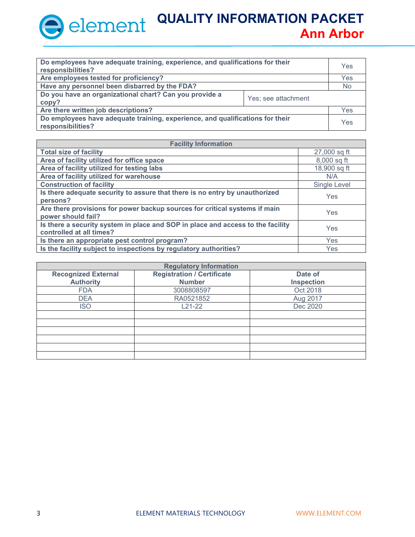| Do employees have adequate training, experience, and qualifications for their<br>responsibilities? |                     | Yes |
|----------------------------------------------------------------------------------------------------|---------------------|-----|
| Are employees tested for proficiency?                                                              |                     | Yes |
| Have any personnel been disbarred by the FDA?                                                      |                     | No  |
| Do you have an organizational chart? Can you provide a<br>copy?                                    | Yes; see attachment |     |
| Are there written job descriptions?                                                                |                     | Yes |
| Do employees have adequate training, experience, and qualifications for their<br>responsibilities? |                     | Yes |

| <b>Facility Information</b>                                                     |              |  |
|---------------------------------------------------------------------------------|--------------|--|
| <b>Total size of facility</b>                                                   | 27,000 sq ft |  |
| Area of facility utilized for office space                                      | 8,000 sq ft  |  |
| Area of facility utilized for testing labs                                      | 18,900 sq ft |  |
| Area of facility utilized for warehouse                                         | N/A          |  |
| <b>Construction of facility</b>                                                 | Single Level |  |
| Is there adequate security to assure that there is no entry by unauthorized     | Yes          |  |
| persons?                                                                        |              |  |
| Are there provisions for power backup sources for critical systems if main      | Yes          |  |
| power should fail?                                                              |              |  |
| Is there a security system in place and SOP in place and access to the facility | Yes          |  |
| controlled at all times?                                                        |              |  |
| Is there an appropriate pest control program?                                   | Yes          |  |
| Is the facility subject to inspections by regulatory authorities?               | Yes          |  |

| <b>Regulatory Information</b> |                                   |                   |
|-------------------------------|-----------------------------------|-------------------|
| <b>Recognized External</b>    | <b>Registration / Certificate</b> | Date of           |
| <b>Authority</b>              | <b>Number</b>                     | <b>Inspection</b> |
| <b>FDA</b>                    | 3008808597                        | Oct 2018          |
| <b>DEA</b>                    | RA0521852                         | Aug 2017          |
| <b>ISO</b>                    | $L21-22$                          | Dec 2020          |
|                               |                                   |                   |
|                               |                                   |                   |
|                               |                                   |                   |
|                               |                                   |                   |
|                               |                                   |                   |
|                               |                                   |                   |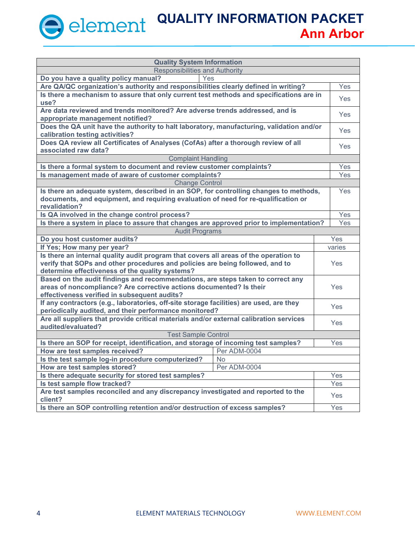| <b>Quality System Information</b>                                                           |           |            |
|---------------------------------------------------------------------------------------------|-----------|------------|
| Responsibilities and Authority                                                              |           |            |
| Do you have a quality policy manual?<br>Yes                                                 |           |            |
| Are QA/QC organization's authority and responsibilities clearly defined in writing?         |           | Yes        |
| Is there a mechanism to assure that only current test methods and specifications are in     |           | <b>Yes</b> |
| use?                                                                                        |           |            |
| Are data reviewed and trends monitored? Are adverse trends addressed, and is                |           | <b>Yes</b> |
| appropriate management notified?                                                            |           |            |
| Does the QA unit have the authority to halt laboratory, manufacturing, validation and/or    |           | <b>Yes</b> |
| calibration testing activities?                                                             |           |            |
| Does QA review all Certificates of Analyses (CofAs) after a thorough review of all          |           | <b>Yes</b> |
| associated raw data?                                                                        |           |            |
| <b>Complaint Handling</b>                                                                   |           |            |
| Is there a formal system to document and review customer complaints?                        |           | Yes        |
| Is management made of aware of customer complaints?                                         |           | Yes        |
| <b>Change Control</b>                                                                       |           |            |
| Is there an adequate system, described in an SOP, for controlling changes to methods,       |           | <b>Yes</b> |
| documents, and equipment, and requiring evaluation of need for re-qualification or          |           |            |
| revalidation?                                                                               |           |            |
| Is QA involved in the change control process?                                               |           | Yes        |
| Is there a system in place to assure that changes are approved prior to implementation?     |           | Yes        |
| <b>Audit Programs</b>                                                                       |           |            |
| Do you host customer audits?                                                                |           | Yes        |
| If Yes; How many per year?                                                                  |           | varies     |
| Is there an internal quality audit program that covers all areas of the operation to        |           |            |
| verify that SOPs and other procedures and policies are being followed, and to               |           | Yes        |
| determine effectiveness of the quality systems?                                             |           |            |
| Based on the audit findings and recommendations, are steps taken to correct any             |           |            |
| areas of noncompliance? Are corrective actions documented? Is their                         |           | Yes        |
| effectiveness verified in subsequent audits?                                                |           |            |
| If any contractors (e.g., laboratories, off-site storage facilities) are used, are they     |           | Yes        |
| periodically audited, and their performance monitored?                                      |           |            |
| Are all suppliers that provide critical materials and/or external calibration services      |           | Yes        |
| audited/evaluated?                                                                          |           |            |
| <b>Test Sample Control</b>                                                                  |           |            |
| Is there an SOP for receipt, identification, and storage of incoming test samples?          |           | Yes        |
| How are test samples received?<br>Per ADM-0004                                              |           |            |
| Is the test sample log-in procedure computerized?                                           | <b>No</b> |            |
| How are test samples stored?<br>Per ADM-0004                                                |           |            |
| Is there adequate security for stored test samples?                                         |           | Yes        |
| Is test sample flow tracked?                                                                |           | Yes        |
| Are test samples reconciled and any discrepancy investigated and reported to the<br>client? |           | Yes        |
| Is there an SOP controlling retention and/or destruction of excess samples?                 |           | Yes        |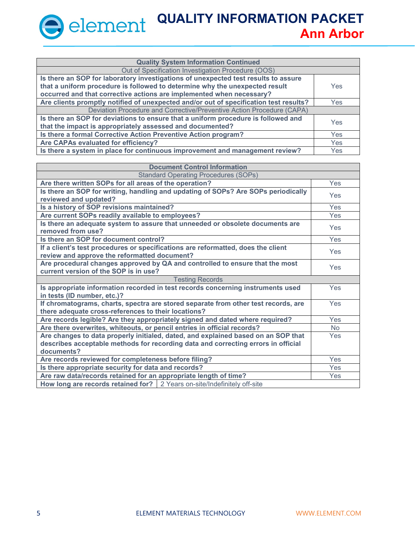| <b>Quality System Information Continued</b>                                           |            |
|---------------------------------------------------------------------------------------|------------|
| Out of Specification Investigation Procedure (OOS)                                    |            |
| Is there an SOP for laboratory investigations of unexpected test results to assure    |            |
| that a uniform procedure is followed to determine why the unexpected result           | Yes        |
| occurred and that corrective actions are implemented when necessary?                  |            |
| Are clients promptly notified of unexpected and/or out of specification test results? | Yes        |
| Deviation Procedure and Corrective/Preventive Action Procedure (CAPA)                 |            |
| Is there an SOP for deviations to ensure that a uniform procedure is followed and     | <b>Yes</b> |
| that the impact is appropriately assessed and documented?                             |            |
| Is there a formal Corrective Action Preventive Action program?                        | <b>Yes</b> |
| Are CAPAs evaluated for efficiency?                                                   | <b>Yes</b> |
| Is there a system in place for continuous improvement and management review?          | <b>Yes</b> |

| <b>Document Control Information</b>                                                                                                       |            |  |
|-------------------------------------------------------------------------------------------------------------------------------------------|------------|--|
| <b>Standard Operating Procedures (SOPs)</b>                                                                                               |            |  |
| Are there written SOPs for all areas of the operation?                                                                                    | Yes        |  |
| Is there an SOP for writing, handling and updating of SOPs? Are SOPs periodically                                                         | <b>Yes</b> |  |
| reviewed and updated?                                                                                                                     |            |  |
| Is a history of SOP revisions maintained?                                                                                                 | Yes        |  |
| Are current SOPs readily available to employees?                                                                                          | Yes        |  |
| Is there an adequate system to assure that unneeded or obsolete documents are<br>removed from use?                                        | <b>Yes</b> |  |
| Is there an SOP for document control?                                                                                                     | Yes        |  |
| If a client's test procedures or specifications are reformatted, does the client<br>review and approve the reformatted document?          | Yes        |  |
| Are procedural changes approved by QA and controlled to ensure that the most<br>current version of the SOP is in use?                     | Yes        |  |
| <b>Testing Records</b>                                                                                                                    |            |  |
| Is appropriate information recorded in test records concerning instruments used                                                           | <b>Yes</b> |  |
| in tests (ID number, etc.)?                                                                                                               |            |  |
| If chromatograms, charts, spectra are stored separate from other test records, are<br>there adequate cross-references to their locations? | Yes        |  |
| Are records legible? Are they appropriately signed and dated where required?                                                              | <b>Yes</b> |  |
| Are there overwrites, whiteouts, or pencil entries in official records?                                                                   | <b>No</b>  |  |
| Are changes to data properly initialed, dated, and explained based on an SOP that                                                         |            |  |
| describes acceptable methods for recording data and correcting errors in official                                                         |            |  |
| documents?                                                                                                                                |            |  |
| Are records reviewed for completeness before filing?                                                                                      |            |  |
| Is there appropriate security for data and records?                                                                                       |            |  |
| Are raw data/records retained for an appropriate length of time?                                                                          | Yes        |  |
| How long are records retained for?   2 Years on-site/Indefinitely off-site                                                                |            |  |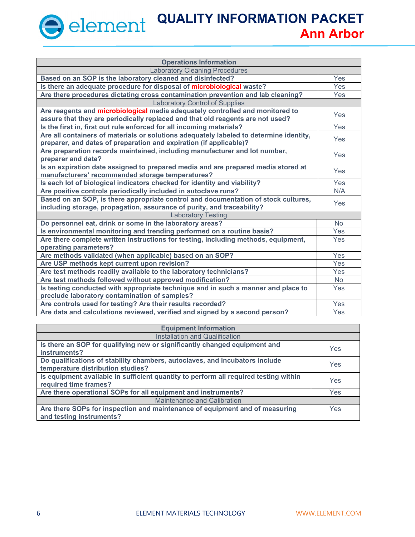| <b>Operations Information</b>                                                          |            |  |
|----------------------------------------------------------------------------------------|------------|--|
| <b>Laboratory Cleaning Procedures</b>                                                  |            |  |
| Based on an SOP is the laboratory cleaned and disinfected?                             | Yes        |  |
| Is there an adequate procedure for disposal of microbiological waste?                  | Yes        |  |
| Are there procedures dictating cross contamination prevention and lab cleaning?        | <b>Yes</b> |  |
| <b>Laboratory Control of Supplies</b>                                                  |            |  |
| Are reagents and microbiological media adequately controlled and monitored to          | Yes        |  |
| assure that they are periodically replaced and that old reagents are not used?         |            |  |
| Is the first in, first out rule enforced for all incoming materials?                   | Yes        |  |
| Are all containers of materials or solutions adequately labeled to determine identity, | Yes        |  |
| preparer, and dates of preparation and expiration (if applicable)?                     |            |  |
| Are preparation records maintained, including manufacturer and lot number,             | Yes        |  |
| preparer and date?                                                                     |            |  |
| Is an expiration date assigned to prepared media and are prepared media stored at      | Yes        |  |
| manufacturers' recommended storage temperatures?                                       |            |  |
| Is each lot of biological indicators checked for identity and viability?               | Yes        |  |
| Are positive controls periodically included in autoclave runs?                         | N/A        |  |
| Based on an SOP, is there appropriate control and documentation of stock cultures,     | Yes        |  |
| including storage, propagation, assurance of purity, and traceability?                 |            |  |
| <b>Laboratory Testing</b>                                                              |            |  |
| Do personnel eat, drink or some in the laboratory areas?                               | <b>No</b>  |  |
| Is environmental monitoring and trending performed on a routine basis?                 | Yes        |  |
| Are there complete written instructions for testing, including methods, equipment,     | Yes        |  |
| operating parameters?                                                                  |            |  |
| Are methods validated (when applicable) based on an SOP?                               | Yes        |  |
| Are USP methods kept current upon revision?                                            | Yes        |  |
| Are test methods readily available to the laboratory technicians?                      | Yes        |  |
| Are test methods followed without approved modification?                               | <b>No</b>  |  |
| Is testing conducted with appropriate technique and in such a manner and place to      | Yes        |  |
| preclude laboratory contamination of samples?                                          |            |  |
| Are controls used for testing? Are their results recorded?                             | Yes        |  |
| Are data and calculations reviewed, verified and signed by a second person?            | Yes        |  |

| <b>Equipment Information</b>                                                                                     |     |  |
|------------------------------------------------------------------------------------------------------------------|-----|--|
| Installation and Qualification                                                                                   |     |  |
| Is there an SOP for qualifying new or significantly changed equipment and<br>instruments?                        | Yes |  |
| Do qualifications of stability chambers, autoclaves, and incubators include<br>temperature distribution studies? | Yes |  |
| Is equipment available in sufficient quantity to perform all required testing within<br>required time frames?    | Yes |  |
| Are there operational SOPs for all equipment and instruments?                                                    | Yes |  |
| Maintenance and Calibration                                                                                      |     |  |
| Are there SOPs for inspection and maintenance of equipment and of measuring<br>and testing instruments?          | Yes |  |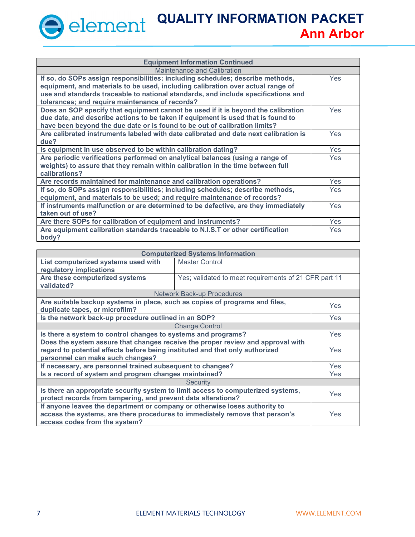| <b>Equipment Information Continued</b>                                                   |            |  |  |
|------------------------------------------------------------------------------------------|------------|--|--|
| Maintenance and Calibration                                                              |            |  |  |
| If so, do SOPs assign responsibilities; including schedules; describe methods,           | <b>Yes</b> |  |  |
| equipment, and materials to be used, including calibration over actual range of          |            |  |  |
| use and standards traceable to national standards, and include specifications and        |            |  |  |
| tolerances; and require maintenance of records?                                          |            |  |  |
| Does an SOP specify that equipment cannot be used if it is beyond the calibration        | <b>Yes</b> |  |  |
| due date, and describe actions to be taken if equipment is used that is found to         |            |  |  |
| have been beyond the due date or is found to be out of calibration limits?               |            |  |  |
| Are calibrated instruments labeled with date calibrated and date next calibration is     | <b>Yes</b> |  |  |
| due?                                                                                     |            |  |  |
| Is equipment in use observed to be within calibration dating?                            | <b>Yes</b> |  |  |
| Are periodic verifications performed on analytical balances (using a range of            | <b>Yes</b> |  |  |
| weights) to assure that they remain within calibration in the time between full          |            |  |  |
| calibrations?                                                                            |            |  |  |
| Are records maintained for maintenance and calibration operations?                       | Yes        |  |  |
| If so, do SOPs assign responsibilities; including schedules; describe methods,           | Yes        |  |  |
| equipment, and materials to be used; and require maintenance of records?                 |            |  |  |
| If instruments malfunction or are determined to be defective, are they immediately       | <b>Yes</b> |  |  |
| taken out of use?                                                                        |            |  |  |
| Are there SOPs for calibration of equipment and instruments?                             | <b>Yes</b> |  |  |
| Are equipment calibration standards traceable to N.I.S.T or other certification<br>body? | <b>Yes</b> |  |  |

| <b>Computerized Systems Information</b>                                                        |                                                       |            |  |
|------------------------------------------------------------------------------------------------|-------------------------------------------------------|------------|--|
| List computerized systems used with<br><b>Master Control</b>                                   |                                                       |            |  |
| regulatory implications                                                                        |                                                       |            |  |
| Are these computerized systems                                                                 | Yes; validated to meet requirements of 21 CFR part 11 |            |  |
| validated?                                                                                     |                                                       |            |  |
|                                                                                                | <b>Network Back-up Procedures</b>                     |            |  |
| Are suitable backup systems in place, such as copies of programs and files,                    |                                                       | <b>Yes</b> |  |
| duplicate tapes, or microfilm?                                                                 |                                                       |            |  |
| Is the network back-up procedure outlined in an SOP?                                           |                                                       | Yes        |  |
|                                                                                                | <b>Change Control</b>                                 |            |  |
| Is there a system to control changes to systems and programs?<br>Yes                           |                                                       |            |  |
| Does the system assure that changes receive the proper review and approval with                |                                                       |            |  |
| regard to potential effects before being instituted and that only authorized<br><b>Yes</b>     |                                                       |            |  |
| personnel can make such changes?                                                               |                                                       |            |  |
| If necessary, are personnel trained subsequent to changes?<br>Yes                              |                                                       |            |  |
| Is a record of system and program changes maintained?                                          |                                                       |            |  |
| <b>Security</b>                                                                                |                                                       |            |  |
| Is there an appropriate security system to limit access to computerized systems,<br><b>Yes</b> |                                                       |            |  |
| protect records from tampering, and prevent data alterations?                                  |                                                       |            |  |
| If anyone leaves the department or company or otherwise loses authority to                     |                                                       |            |  |
| access the systems, are there procedures to immediately remove that person's<br>Yes            |                                                       |            |  |
| access codes from the system?                                                                  |                                                       |            |  |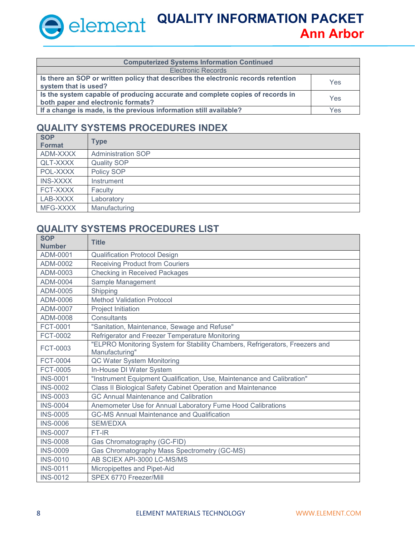| <b>Computerized Systems Information Continued</b>                                                                   |     |
|---------------------------------------------------------------------------------------------------------------------|-----|
| <b>Electronic Records</b>                                                                                           |     |
| Is there an SOP or written policy that describes the electronic records retention<br>system that is used?           | Yes |
| Is the system capable of producing accurate and complete copies of records in<br>both paper and electronic formats? | Yes |
| If a change is made, is the previous information still available?                                                   | Yes |

#### **QUALITY SYSTEMS PROCEDURES INDEX**

| <b>SOP</b><br><b>Format</b> | <b>Type</b>               |
|-----------------------------|---------------------------|
| ADM-XXXX                    | <b>Administration SOP</b> |
| QLT-XXXX                    | <b>Quality SOP</b>        |
| POL-XXXX                    | Policy SOP                |
| <b>INS-XXXX</b>             | Instrument                |
| FCT-XXXX                    | Faculty                   |
| LAB-XXXX                    | Laboratory                |
| MFG-XXXX                    | Manufacturing             |

### **QUALITY SYSTEMS PROCEDURES LIST**

| <b>SOP</b><br><b>Number</b> | <b>Title</b>                                                                                   |
|-----------------------------|------------------------------------------------------------------------------------------------|
| ADM-0001                    | <b>Qualification Protocol Design</b>                                                           |
| ADM-0002                    | <b>Receiving Product from Couriers</b>                                                         |
| ADM-0003                    | <b>Checking in Received Packages</b>                                                           |
| ADM-0004                    | Sample Management                                                                              |
| ADM-0005                    | Shipping                                                                                       |
| ADM-0006                    | <b>Method Validation Protocol</b>                                                              |
| ADM-0007                    | Project Initiation                                                                             |
| ADM-0008                    | Consultants                                                                                    |
| FCT-0001                    | "Sanitation, Maintenance, Sewage and Refuse"                                                   |
| FCT-0002                    | Refrigerator and Freezer Temperature Monitoring                                                |
| FCT-0003                    | "ELPRO Monitoring System for Stability Chambers, Refrigerators, Freezers and<br>Manufacturing" |
| <b>FCT-0004</b>             | QC Water System Monitoring                                                                     |
| <b>FCT-0005</b>             | In-House DI Water System                                                                       |
| <b>INS-0001</b>             | "Instrument Equipment Qualification, Use, Maintenance and Calibration"                         |
| <b>INS-0002</b>             | Class II Biological Safety Cabinet Operation and Maintenance                                   |
| <b>INS-0003</b>             | <b>GC Annual Maintenance and Calibration</b>                                                   |
| <b>INS-0004</b>             | Anemometer Use for Annual Laboratory Fume Hood Calibrations                                    |
| <b>INS-0005</b>             | <b>GC-MS Annual Maintenance and Qualification</b>                                              |
| <b>INS-0006</b>             | <b>SEM/EDXA</b>                                                                                |
| <b>INS-0007</b>             | FT-IR                                                                                          |
| <b>INS-0008</b>             | Gas Chromatography (GC-FID)                                                                    |
| <b>INS-0009</b>             | Gas Chromatography Mass Spectrometry (GC-MS)                                                   |
| <b>INS-0010</b>             | AB SCIEX API-3000 LC-MS/MS                                                                     |
| <b>INS-0011</b>             | Micropipettes and Pipet-Aid                                                                    |
| <b>INS-0012</b>             | SPEX 6770 Freezer/Mill                                                                         |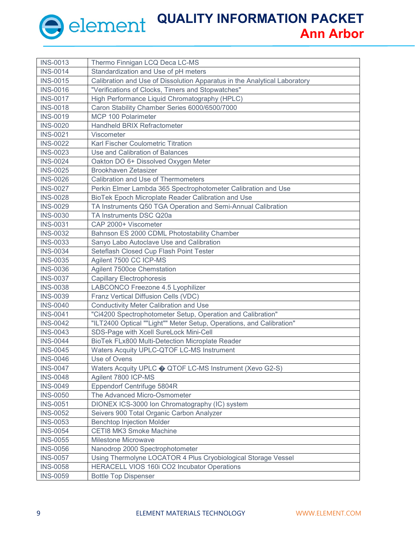| <b>INS-0013</b> | Thermo Finnigan LCQ Deca LC-MS                                            |  |  |  |  |
|-----------------|---------------------------------------------------------------------------|--|--|--|--|
| <b>INS-0014</b> | Standardization and Use of pH meters                                      |  |  |  |  |
| <b>INS-0015</b> | Calibration and Use of Dissolution Apparatus in the Analytical Laboratory |  |  |  |  |
| <b>INS-0016</b> | "Verifications of Clocks, Timers and Stopwatches"                         |  |  |  |  |
| <b>INS-0017</b> | High Performance Liquid Chromatography (HPLC)                             |  |  |  |  |
| <b>INS-0018</b> | Caron Stability Chamber Series 6000/6500/7000                             |  |  |  |  |
| <b>INS-0019</b> | MCP 100 Polarimeter                                                       |  |  |  |  |
| <b>INS-0020</b> | Handheld BRIX Refractometer                                               |  |  |  |  |
| <b>INS-0021</b> | Viscometer                                                                |  |  |  |  |
| <b>INS-0022</b> | Karl Fischer Coulometric Titration                                        |  |  |  |  |
| <b>INS-0023</b> | Use and Calibration of Balances                                           |  |  |  |  |
| <b>INS-0024</b> | Oakton DO 6+ Dissolved Oxygen Meter                                       |  |  |  |  |
| <b>INS-0025</b> | Brookhaven Zetasizer                                                      |  |  |  |  |
| <b>INS-0026</b> | Calibration and Use of Thermometers                                       |  |  |  |  |
| <b>INS-0027</b> | Perkin Elmer Lambda 365 Spectrophotometer Calibration and Use             |  |  |  |  |
| <b>INS-0028</b> | BioTek Epoch Microplate Reader Calibration and Use                        |  |  |  |  |
| <b>INS-0029</b> | TA Instruments Q50 TGA Operation and Semi-Annual Calibration              |  |  |  |  |
| <b>INS-0030</b> | TA Instruments DSC Q20a                                                   |  |  |  |  |
| <b>INS-0031</b> | CAP 2000+ Viscometer                                                      |  |  |  |  |
| <b>INS-0032</b> | Bahnson ES 2000 CDML Photostability Chamber                               |  |  |  |  |
| <b>INS-0033</b> | Sanyo Labo Autoclave Use and Calibration                                  |  |  |  |  |
| <b>INS-0034</b> | Seteflash Closed Cup Flash Point Tester                                   |  |  |  |  |
| <b>INS-0035</b> | Agilent 7500 CC ICP-MS                                                    |  |  |  |  |
| <b>INS-0036</b> | Agilent 7500ce Chemstation                                                |  |  |  |  |
| <b>INS-0037</b> | <b>Capillary Electrophoresis</b>                                          |  |  |  |  |
| <b>INS-0038</b> | LABCONCO Freezone 4.5 Lyophilizer                                         |  |  |  |  |
| <b>INS-0039</b> | Franz Vertical Diffusion Cells (VDC)                                      |  |  |  |  |
| <b>INS-0040</b> | <b>Conductivity Meter Calibration and Use</b>                             |  |  |  |  |
| <b>INS-0041</b> | "Ci4200 Spectrophotometer Setup, Operation and Calibration"               |  |  |  |  |
| <b>INS-0042</b> | "ILT2400 Optical ""Light"" Meter Setup, Operations, and Calibration"      |  |  |  |  |
| <b>INS-0043</b> | SDS-Page with Xcell SureLock Mini-Cell                                    |  |  |  |  |
| <b>INS-0044</b> | BioTek FLx800 Multi-Detection Microplate Reader                           |  |  |  |  |
| <b>INS-0045</b> | Waters Acquity UPLC-QTOF LC-MS Instrument                                 |  |  |  |  |
| <b>INS-0046</b> | Use of Ovens                                                              |  |  |  |  |
| <b>INS-0047</b> | Waters Acquity UPLC $\diamondsuit$ QTOF LC-MS Instrument (Xevo G2-S)      |  |  |  |  |
| <b>INS-0048</b> | Agilent 7800 ICP-MS                                                       |  |  |  |  |
| <b>INS-0049</b> | Eppendorf Centrifuge 5804R                                                |  |  |  |  |
| <b>INS-0050</b> | The Advanced Micro-Osmometer                                              |  |  |  |  |
| <b>INS-0051</b> | DIONEX ICS-3000 Ion Chromatography (IC) system                            |  |  |  |  |
| <b>INS-0052</b> | Seivers 900 Total Organic Carbon Analyzer                                 |  |  |  |  |
| <b>INS-0053</b> | <b>Benchtop Injection Molder</b>                                          |  |  |  |  |
| <b>INS-0054</b> | <b>CETI8 MK3 Smoke Machine</b>                                            |  |  |  |  |
| <b>INS-0055</b> | <b>Milestone Microwave</b>                                                |  |  |  |  |
| <b>INS-0056</b> | Nanodrop 2000 Spectrophotometer                                           |  |  |  |  |
| <b>INS-0057</b> | Using Thermolyne LOCATOR 4 Plus Cryobiological Storage Vessel             |  |  |  |  |
| <b>INS-0058</b> | HERACELL VIOS 160i CO2 Incubator Operations                               |  |  |  |  |
| <b>INS-0059</b> | <b>Bottle Top Dispenser</b>                                               |  |  |  |  |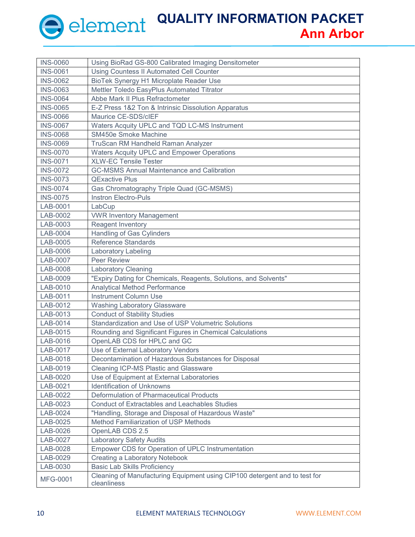| <b>INS-0060</b> | Using BioRad GS-800 Calibrated Imaging Densitometer                                       |  |  |  |
|-----------------|-------------------------------------------------------------------------------------------|--|--|--|
| <b>INS-0061</b> | <b>Using Countess II Automated Cell Counter</b>                                           |  |  |  |
| <b>INS-0062</b> | BioTek Synergy H1 Microplate Reader Use                                                   |  |  |  |
| <b>INS-0063</b> | Mettler Toledo EasyPlus Automated Titrator                                                |  |  |  |
| <b>INS-0064</b> | Abbe Mark II Plus Refractometer                                                           |  |  |  |
| <b>INS-0065</b> | E-Z Press 1&2 Ton & Intrinsic Dissolution Apparatus                                       |  |  |  |
| <b>INS-0066</b> | Maurice CE-SDS/cIEF                                                                       |  |  |  |
| <b>INS-0067</b> | Waters Acquity UPLC and TQD LC-MS Instrument                                              |  |  |  |
| <b>INS-0068</b> | SM450e Smoke Machine                                                                      |  |  |  |
| <b>INS-0069</b> | TruScan RM Handheld Raman Analyzer                                                        |  |  |  |
| <b>INS-0070</b> | <b>Waters Acquity UPLC and Empower Operations</b>                                         |  |  |  |
| <b>INS-0071</b> | <b>XLW-EC Tensile Tester</b>                                                              |  |  |  |
| <b>INS-0072</b> | <b>GC-MSMS Annual Maintenance and Calibration</b>                                         |  |  |  |
| <b>INS-0073</b> | <b>QExactive Plus</b>                                                                     |  |  |  |
| <b>INS-0074</b> | Gas Chromatography Triple Quad (GC-MSMS)                                                  |  |  |  |
| <b>INS-0075</b> | <b>Instron Electro-Puls</b>                                                               |  |  |  |
| LAB-0001        | LabCup                                                                                    |  |  |  |
| LAB-0002        | <b>VWR Inventory Management</b>                                                           |  |  |  |
| LAB-0003        | <b>Reagent Inventory</b>                                                                  |  |  |  |
| LAB-0004        | Handling of Gas Cylinders                                                                 |  |  |  |
| LAB-0005        | Reference Standards                                                                       |  |  |  |
| LAB-0006        | Laboratory Labeling                                                                       |  |  |  |
| LAB-0007        | <b>Peer Review</b>                                                                        |  |  |  |
| LAB-0008        | <b>Laboratory Cleaning</b>                                                                |  |  |  |
| LAB-0009        | "Expiry Dating for Chemicals, Reagents, Solutions, and Solvents"                          |  |  |  |
| LAB-0010        | <b>Analytical Method Performance</b>                                                      |  |  |  |
| LAB-0011        | <b>Instrument Column Use</b>                                                              |  |  |  |
| LAB-0012        | <b>Washing Laboratory Glassware</b>                                                       |  |  |  |
| LAB-0013        | <b>Conduct of Stability Studies</b>                                                       |  |  |  |
| LAB-0014        | Standardization and Use of USP Volumetric Solutions                                       |  |  |  |
| LAB-0015        | Rounding and Significant Figures in Chemical Calculations                                 |  |  |  |
| LAB-0016        | OpenLAB CDS for HPLC and GC                                                               |  |  |  |
| LAB-0017        | Use of External Laboratory Vendors                                                        |  |  |  |
| LAB-0018        | Decontamination of Hazardous Substances for Disposal                                      |  |  |  |
| LAB-0019        | <b>Cleaning ICP-MS Plastic and Glassware</b>                                              |  |  |  |
| LAB-0020        | Use of Equipment at External Laboratories                                                 |  |  |  |
| LAB-0021        | <b>Identification of Unknowns</b>                                                         |  |  |  |
| LAB-0022        | Deformulation of Pharmaceutical Products                                                  |  |  |  |
| LAB-0023        | <b>Conduct of Extractables and Leachables Studies</b>                                     |  |  |  |
| LAB-0024        | "Handling, Storage and Disposal of Hazardous Waste"                                       |  |  |  |
| LAB-0025        | Method Familiarization of USP Methods                                                     |  |  |  |
| LAB-0026        | OpenLAB CDS 2.5                                                                           |  |  |  |
| LAB-0027        | <b>Laboratory Safety Audits</b>                                                           |  |  |  |
| LAB-0028        | Empower CDS for Operation of UPLC Instrumentation                                         |  |  |  |
| LAB-0029        | Creating a Laboratory Notebook                                                            |  |  |  |
| LAB-0030        | <b>Basic Lab Skills Proficiency</b>                                                       |  |  |  |
| MFG-0001        | Cleaning of Manufacturing Equipment using CIP100 detergent and to test for<br>cleanliness |  |  |  |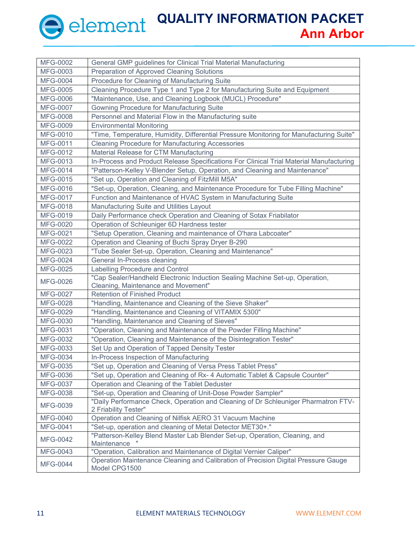| MFG-0002        | General GMP guidelines for Clinical Trial Material Manufacturing                                                    |  |  |  |
|-----------------|---------------------------------------------------------------------------------------------------------------------|--|--|--|
| MFG-0003        | Preparation of Approved Cleaning Solutions                                                                          |  |  |  |
| <b>MFG-0004</b> | Procedure for Cleaning of Manufacturing Suite                                                                       |  |  |  |
| MFG-0005        | Cleaning Procedure Type 1 and Type 2 for Manufacturing Suite and Equipment                                          |  |  |  |
| <b>MFG-0006</b> | "Maintenance, Use, and Cleaning Logbook (MUCL) Procedure"                                                           |  |  |  |
| <b>MFG-0007</b> | <b>Gowning Procedure for Manufacturing Suite</b>                                                                    |  |  |  |
| MFG-0008        | Personnel and Material Flow in the Manufacturing suite                                                              |  |  |  |
| MFG-0009        | <b>Environmental Monitoring</b>                                                                                     |  |  |  |
| MFG-0010        | "Time, Temperature, Humidity, Differential Pressure Monitoring for Manufacturing Suite"                             |  |  |  |
| MFG-0011        | <b>Cleaning Procedure for Manufacturing Accessories</b>                                                             |  |  |  |
| MFG-0012        | Material Release for CTM Manufacturing                                                                              |  |  |  |
| MFG-0013        | In-Process and Product Release Specifications For Clinical Trial Material Manufacturing                             |  |  |  |
| MFG-0014        | "Patterson-Kelley V-Blender Setup, Operation, and Cleaning and Maintenance"                                         |  |  |  |
| MFG-0015        | "Set up, Operation and Cleaning of FitzMill M5A"                                                                    |  |  |  |
| MFG-0016        | "Set-up, Operation, Cleaning, and Maintenance Procedure for Tube Filling Machine"                                   |  |  |  |
| MFG-0017        | Function and Maintenance of HVAC System in Manufacturing Suite                                                      |  |  |  |
| MFG-0018        | Manufacturing Suite and Utilities Layout                                                                            |  |  |  |
| MFG-0019        | Daily Performance check Operation and Cleaning of Sotax Friabilator                                                 |  |  |  |
| MFG-0020        | Operation of Schleuniger 6D Hardness tester                                                                         |  |  |  |
| MFG-0021        | "Setup Operation, Cleaning and maintenance of O'hara Labcoater"                                                     |  |  |  |
| MFG-0022        | Operation and Cleaning of Buchi Spray Dryer B-290                                                                   |  |  |  |
| MFG-0023        | "Tube Sealer Set-up, Operation, Cleaning and Maintenance"                                                           |  |  |  |
| MFG-0024        | General In-Process cleaning                                                                                         |  |  |  |
| MFG-0025        | Labelling Procedure and Control                                                                                     |  |  |  |
| MFG-0026        | "Cap Sealer/Handheld Electronic Induction Sealing Machine Set-up, Operation,<br>Cleaning, Maintenance and Movement" |  |  |  |
| MFG-0027        | <b>Retention of Finished Product</b>                                                                                |  |  |  |
| MFG-0028        | "Handling, Maintenance and Cleaning of the Sieve Shaker"                                                            |  |  |  |
| MFG-0029        | "Handling, Maintenance and Cleaning of VITAMIX 5300"                                                                |  |  |  |
| MFG-0030        | "Handling, Maintenance and Cleaning of Sieves"                                                                      |  |  |  |
| MFG-0031        | "Operation, Cleaning and Maintenance of the Powder Filling Machine"                                                 |  |  |  |
| MFG-0032        | "Operation, Cleaning and Maintenance of the Disintegration Tester"                                                  |  |  |  |
| MFG-0033        | Set Up and Operation of Tapped Density Tester                                                                       |  |  |  |
| MFG-0034        | In-Process Inspection of Manufacturing                                                                              |  |  |  |
| MFG-0035        | "Set up, Operation and Cleaning of Versa Press Tablet Press"                                                        |  |  |  |
| MFG-0036        | "Set up, Operation and Cleaning of Rx- 4 Automatic Tablet & Capsule Counter"                                        |  |  |  |
| MFG-0037        | Operation and Cleaning of the Tablet Deduster                                                                       |  |  |  |
| MFG-0038        | "Set-up, Operation and Cleaning of Unit-Dose Powder Sampler"                                                        |  |  |  |
| MFG-0039        | "Daily Performance Check, Operation and Cleaning of Dr Schleuniger Pharmatron FTV-<br>2 Friability Tester"          |  |  |  |
| MFG-0040        | Operation and Cleaning of Nilfisk AERO 31 Vacuum Machine                                                            |  |  |  |
| MFG-0041        | "Set-up, operation and cleaning of Metal Detector MET30+."                                                          |  |  |  |
| MFG-0042        | "Patterson-Kelley Blend Master Lab Blender Set-up, Operation, Cleaning, and<br>Maintenance                          |  |  |  |
|                 |                                                                                                                     |  |  |  |
| MFG-0043        | "Operation, Calibration and Maintenance of Digital Vernier Caliper"                                                 |  |  |  |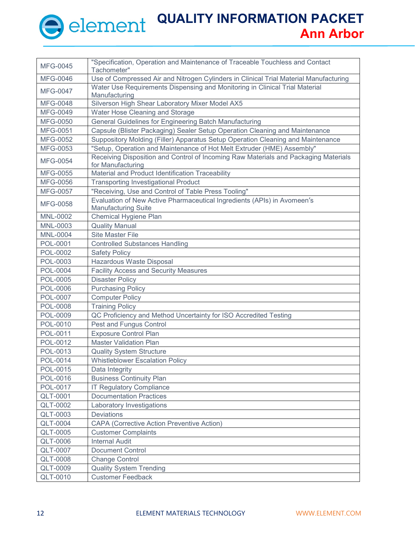| MFG-0045        | "Specification, Operation and Maintenance of Traceable Touchless and Contact<br>Tachometer"              |  |  |  |  |
|-----------------|----------------------------------------------------------------------------------------------------------|--|--|--|--|
| MFG-0046        | Use of Compressed Air and Nitrogen Cylinders in Clinical Trial Material Manufacturing                    |  |  |  |  |
| <b>MFG-0047</b> | Water Use Requirements Dispensing and Monitoring in Clinical Trial Material<br>Manufacturing             |  |  |  |  |
| <b>MFG-0048</b> | Silverson High Shear Laboratory Mixer Model AX5                                                          |  |  |  |  |
| MFG-0049        | Water Hose Cleaning and Storage                                                                          |  |  |  |  |
| MFG-0050        | General Guidelines for Engineering Batch Manufacturing                                                   |  |  |  |  |
| MFG-0051        | Capsule (Blister Packaging) Sealer Setup Operation Cleaning and Maintenance                              |  |  |  |  |
| MFG-0052        | Suppository Molding (Filler) Apparatus Setup Operation Cleaning and Maintenance                          |  |  |  |  |
| MFG-0053        | "Setup, Operation and Maintenance of Hot Melt Extruder (HME) Assembly"                                   |  |  |  |  |
| MFG-0054        | Receiving Disposition and Control of Incoming Raw Materials and Packaging Materials<br>for Manufacturing |  |  |  |  |
| MFG-0055        | Material and Product Identification Traceability                                                         |  |  |  |  |
| MFG-0056        | <b>Transporting Investigational Product</b>                                                              |  |  |  |  |
| MFG-0057        | "Receiving, Use and Control of Table Press Tooling"                                                      |  |  |  |  |
| <b>MFG-0058</b> | Evaluation of New Active Pharmaceutical Ingredients (APIs) in Avomeen's<br><b>Manufacturing Suite</b>    |  |  |  |  |
| <b>MNL-0002</b> | Chemical Hygiene Plan                                                                                    |  |  |  |  |
| MNL-0003        | <b>Quality Manual</b>                                                                                    |  |  |  |  |
| <b>MNL-0004</b> | <b>Site Master File</b>                                                                                  |  |  |  |  |
| POL-0001        | <b>Controlled Substances Handling</b>                                                                    |  |  |  |  |
| POL-0002        | <b>Safety Policy</b>                                                                                     |  |  |  |  |
| POL-0003        | Hazardous Waste Disposal                                                                                 |  |  |  |  |
| <b>POL-0004</b> | <b>Facility Access and Security Measures</b>                                                             |  |  |  |  |
| <b>POL-0005</b> | <b>Disaster Policy</b>                                                                                   |  |  |  |  |
| POL-0006        | <b>Purchasing Policy</b>                                                                                 |  |  |  |  |
| <b>POL-0007</b> | <b>Computer Policy</b>                                                                                   |  |  |  |  |
| POL-0008        | <b>Training Policy</b>                                                                                   |  |  |  |  |
| POL-0009        | QC Proficiency and Method Uncertainty for ISO Accredited Testing                                         |  |  |  |  |
| POL-0010        | Pest and Fungus Control                                                                                  |  |  |  |  |
| POL-0011        | <b>Exposure Control Plan</b>                                                                             |  |  |  |  |
| POL-0012        | <b>Master Validation Plan</b>                                                                            |  |  |  |  |
| POL-0013        | <b>Quality System Structure</b>                                                                          |  |  |  |  |
| POL-0014        | <b>Whistleblower Escalation Policy</b>                                                                   |  |  |  |  |
| POL-0015        | Data Integrity                                                                                           |  |  |  |  |
| POL-0016        | <b>Business Continuity Plan</b>                                                                          |  |  |  |  |
| POL-0017        | <b>IT Regulatory Compliance</b>                                                                          |  |  |  |  |
| <b>QLT-0001</b> | <b>Documentation Practices</b>                                                                           |  |  |  |  |
| <b>QLT-0002</b> | Laboratory Investigations                                                                                |  |  |  |  |
| <b>QLT-0003</b> | <b>Deviations</b>                                                                                        |  |  |  |  |
| <b>QLT-0004</b> | <b>CAPA (Corrective Action Preventive Action)</b>                                                        |  |  |  |  |
| <b>QLT-0005</b> | <b>Customer Complaints</b>                                                                               |  |  |  |  |
| <b>QLT-0006</b> | <b>Internal Audit</b>                                                                                    |  |  |  |  |
| <b>QLT-0007</b> | <b>Document Control</b>                                                                                  |  |  |  |  |
| <b>QLT-0008</b> | <b>Change Control</b>                                                                                    |  |  |  |  |
| <b>QLT-0009</b> | <b>Quality System Trending</b>                                                                           |  |  |  |  |
| <b>QLT-0010</b> | <b>Customer Feedback</b>                                                                                 |  |  |  |  |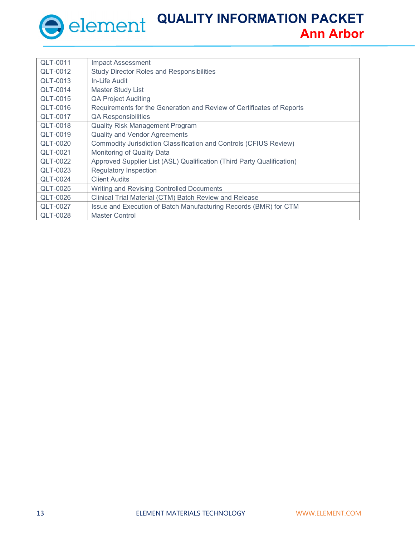| QLT-0011        | <b>Impact Assessment</b>                                               |
|-----------------|------------------------------------------------------------------------|
| QLT-0012        | <b>Study Director Roles and Responsibilities</b>                       |
| QLT-0013        | In-Life Audit                                                          |
| QLT-0014        | <b>Master Study List</b>                                               |
| QLT-0015        | <b>QA Project Auditing</b>                                             |
| QLT-0016        | Requirements for the Generation and Review of Certificates of Reports  |
| QLT-0017        | <b>QA Responsibilities</b>                                             |
| QLT-0018        | <b>Quality Risk Management Program</b>                                 |
| QLT-0019        | <b>Quality and Vendor Agreements</b>                                   |
| QLT-0020        | Commodity Jurisdiction Classification and Controls (CFIUS Review)      |
| QLT-0021        | Monitoring of Quality Data                                             |
| QLT-0022        | Approved Supplier List (ASL) Qualification (Third Party Qualification) |
| QLT-0023        | <b>Regulatory Inspection</b>                                           |
| <b>QLT-0024</b> | <b>Client Audits</b>                                                   |
| QLT-0025        | Writing and Revising Controlled Documents                              |
| QLT-0026        | Clinical Trial Material (CTM) Batch Review and Release                 |
| <b>QLT-0027</b> | Issue and Execution of Batch Manufacturing Records (BMR) for CTM       |
| QLT-0028        | <b>Master Control</b>                                                  |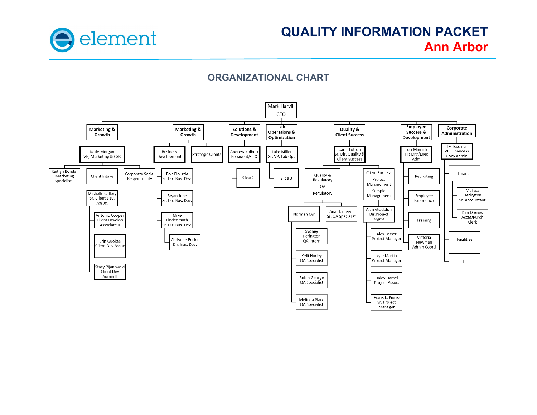

#### **ORGANIZATIONAL CHART**

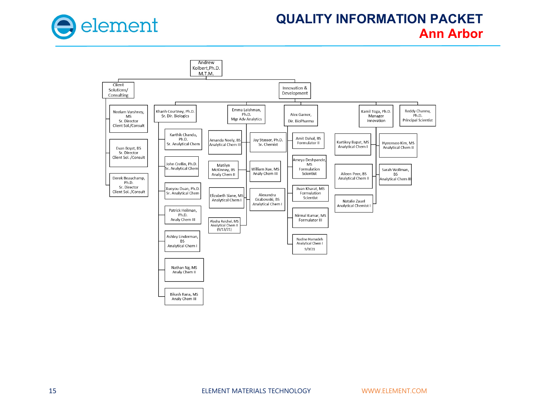

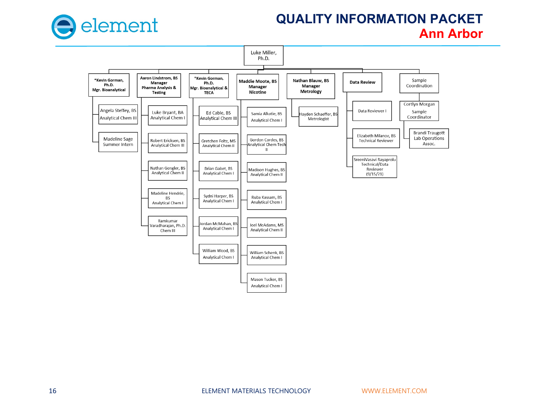

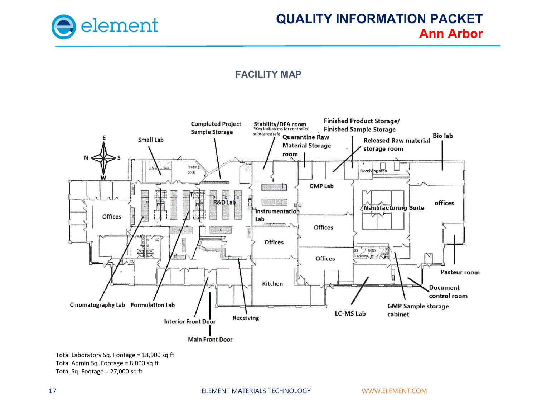

#### **FACILITY MAP**



Total Laboratory Sq. Footage = 18,900 sq ft Total Admin Sq. Footage = 8,000 sq ft Total Sq. Footage = 27,000 sq ft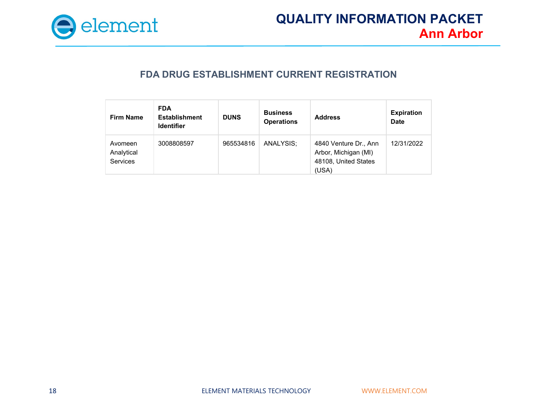

#### **FDA DRUG ESTABLISHMENT CURRENT REGISTRATION**

| <b>Firm Name</b>                         | <b>FDA</b><br><b>Establishment</b><br><b>Identifier</b> | <b>DUNS</b> | <b>Business</b><br><b>Operations</b> | <b>Address</b>                                                                 | <b>Expiration</b><br><b>Date</b> |
|------------------------------------------|---------------------------------------------------------|-------------|--------------------------------------|--------------------------------------------------------------------------------|----------------------------------|
| Avomeen<br>Analytical<br><b>Services</b> | 3008808597                                              | 965534816   | ANALYSIS:                            | 4840 Venture Dr., Ann<br>Arbor, Michigan (MI)<br>48108, United States<br>(USA) | 12/31/2022                       |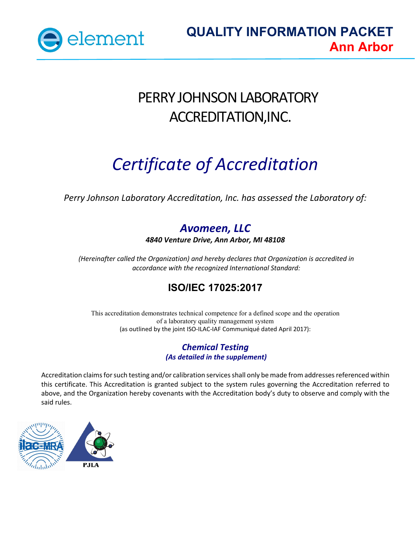

# PERRY JOHNSON LABORATORY ACCREDITATION,INC.

# *Certificate of Accreditation*

*Perry Johnson Laboratory Accreditation, Inc. has assessed the Laboratory of:*

## *Avomeen, LLC*

*4840 Venture Drive, Ann Arbor, MI 48108*

*(Hereinafter called the Organization) and hereby declares that Organization is accredited in accordance with the recognized International Standard:*

## **ISO/IEC 17025:2017**

This accreditation demonstrates technical competence for a defined scope and the operation of a laboratory quality management system (as outlined by the joint ISO-ILAC-IAF Communiqué dated April 2017):

#### *Chemical Testing (As detailed in the supplement)*

Accreditation claims for such testing and/or calibration services shall only be made from addresses referenced within this certificate. This Accreditation is granted subject to the system rules governing the Accreditation referred to above, and the Organization hereby covenants with the Accreditation body's duty to observe and comply with the said rules.

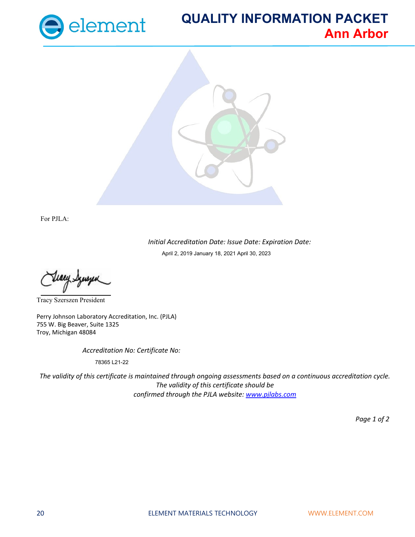



For PJLA:

*Initial Accreditation Date: Issue Date: Expiration Date:* April 2, 2019 January 18, 2021 April 30, 2023

Tracy Szerszen President

Perry Johnson Laboratory Accreditation, Inc. (PJLA) 755 W. Big Beaver, Suite 1325 Troy, Michigan 48084

*Accreditation No: Certificate No:*

78365 L21-22

*The validity of this certificate is maintained through ongoing assessments based on a continuous accreditation cycle. The validity of this certificate should be confirmed through the PJLA website: [www.pjlabs.com](http://www.pjlabs.com/)*

*Page 1 of 2*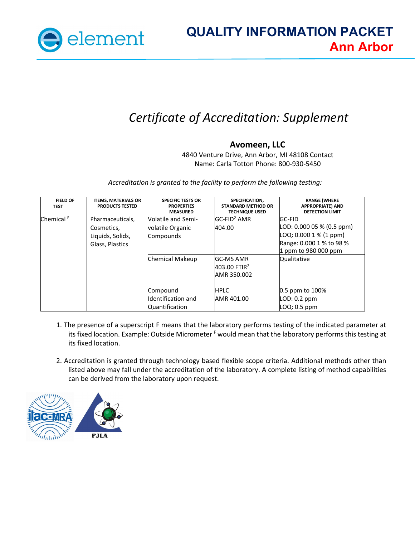

# *Certificate of Accreditation: Supplement*

#### **Avomeen, LLC**

4840 Venture Drive, Ann Arbor, MI 48108 Contact Name: Carla Totton Phone: 800-930-5450

*Accreditation is granted to the facility to perform the following testing:*

| <b>FIELD OF</b><br><b>TEST</b> | <b>ITEMS, MATERIALS OR</b><br><b>PRODUCTS TESTED</b>                  | <b>SPECIFIC TESTS OR</b><br><b>PROPERTIES</b><br><b>MEASURED</b>       | SPECIFICATION,<br><b>STANDARD METHOD OR</b><br><b>TECHNIQUE USED</b>            | <b>RANGE (WHERE</b><br><b>APPROPRIATE) AND</b><br><b>DETECTION LIMIT</b>                                                       |
|--------------------------------|-----------------------------------------------------------------------|------------------------------------------------------------------------|---------------------------------------------------------------------------------|--------------------------------------------------------------------------------------------------------------------------------|
| Chemical <sup>F</sup>          | Pharmaceuticals,<br>Cosmetics,<br>Liquids, Solids,<br>Glass, Plastics | Volatile and Semi-<br>volatile Organic<br>Compounds<br>Chemical Makeup | $GC-FID2 AMR$<br>404.00<br>GC-MS AMR<br>403.00 FTIR <sup>2</sup><br>AMR 350.002 | GC-FID<br>LOD: 0.000 05 % (0.5 ppm)<br>LOG: 0.0001% (1 ppm)<br>Range: 0.000 1 % to 98 %<br>1 ppm to 980 000 ppm<br>Qualitative |
|                                |                                                                       | Compound<br>Identification and<br><b>Quantification</b>                | <b>HPLC</b><br>AMR 401.00                                                       | 0.5 ppm to 100%<br>LOD: 0.2 ppm<br>$LOQ: 0.5$ ppm                                                                              |

- 1. The presence of a superscript F means that the laboratory performs testing of the indicated parameter at its fixed location. Example: Outside Micrometer <sup>F</sup> would mean that the laboratory performs this testing at its fixed location.
- 2. Accreditation is granted through technology based flexible scope criteria. Additional methods other than listed above may fall under the accreditation of the laboratory. A complete listing of method capabilities can be derived from the laboratory upon request.

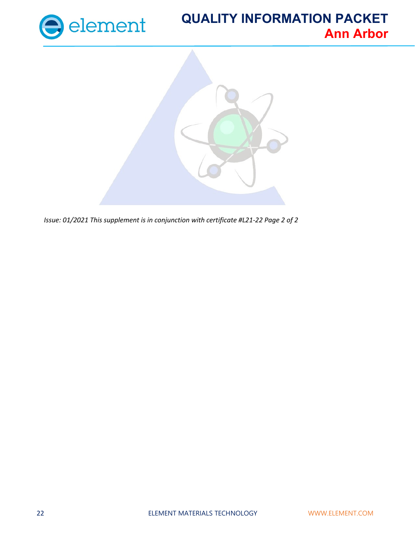



*Issue: 01/2021 This supplement is in conjunction with certificate #L21-22 Page 2 of 2*